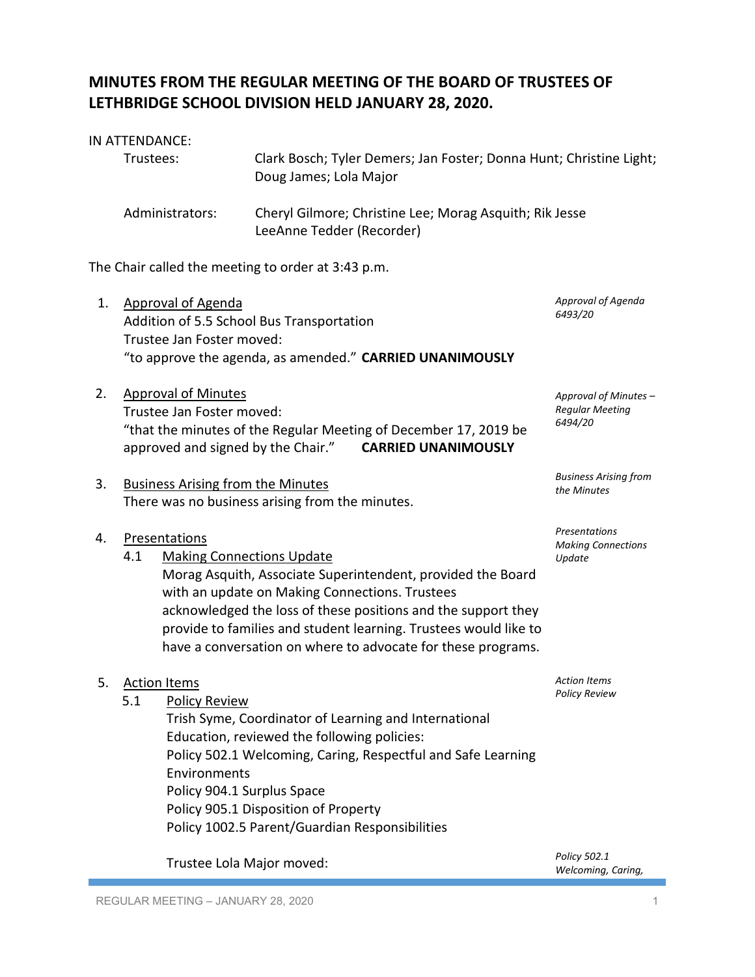## **MINUTES FROM THE REGULAR MEETING OF THE BOARD OF TRUSTEES OF LETHBRIDGE SCHOOL DIVISION HELD JANUARY 28, 2020.**

### IN ATTENDANCE:

| Trustees:       | Clark Bosch; Tyler Demers; Jan Foster; Donna Hunt; Christine Light;<br>Doug James; Lola Major |
|-----------------|-----------------------------------------------------------------------------------------------|
| Administrators: | Cheryl Gilmore; Christine Lee; Morag Asquith; Rik Jesse<br>LeeAnne Tedder (Recorder)          |

The Chair called the meeting to order at 3:43 p.m.

- 1. Approval of Agenda Addition of 5.5 School Bus Transportation Trustee Jan Foster moved: "to approve the agenda, as amended." **CARRIED UNANIMOUSLY** *Approval of Agenda 6493/20*
- 2. Approval of Minutes Trustee Jan Foster moved: "that the minutes of the Regular Meeting of December 17, 2019 be approved and signed by the Chair." **CARRIED UNANIMOUSLY**
- 3. Business Arising from the Minutes There was no business arising from the minutes.

### 4. Presentations

4.1 Making Connections Update Morag Asquith, Associate Superintendent, provided the Board with an update on Making Connections. Trustees acknowledged the loss of these positions and the support they provide to families and student learning. Trustees would like to have a conversation on where to advocate for these programs.

# 5. Action Items 5.1 Policy Review Trish Syme, Coordinator of Learning and International Education, reviewed the following policies: Policy 502.1 Welcoming, Caring, Respectful and Safe Learning Environments Policy 904.1 Surplus Space Policy 905.1 Disposition of Property Policy 1002.5 Parent/Guardian Responsibilities

Trustee Lola Major moved:

*Policy 502.1 Welcoming, Caring,* 

*Approval of Minutes – Regular Meeting 6494/20*

*Business Arising from* 

*the Minutes*

*Presentations Making Connections* 

*Action Items Policy Review*

*Update*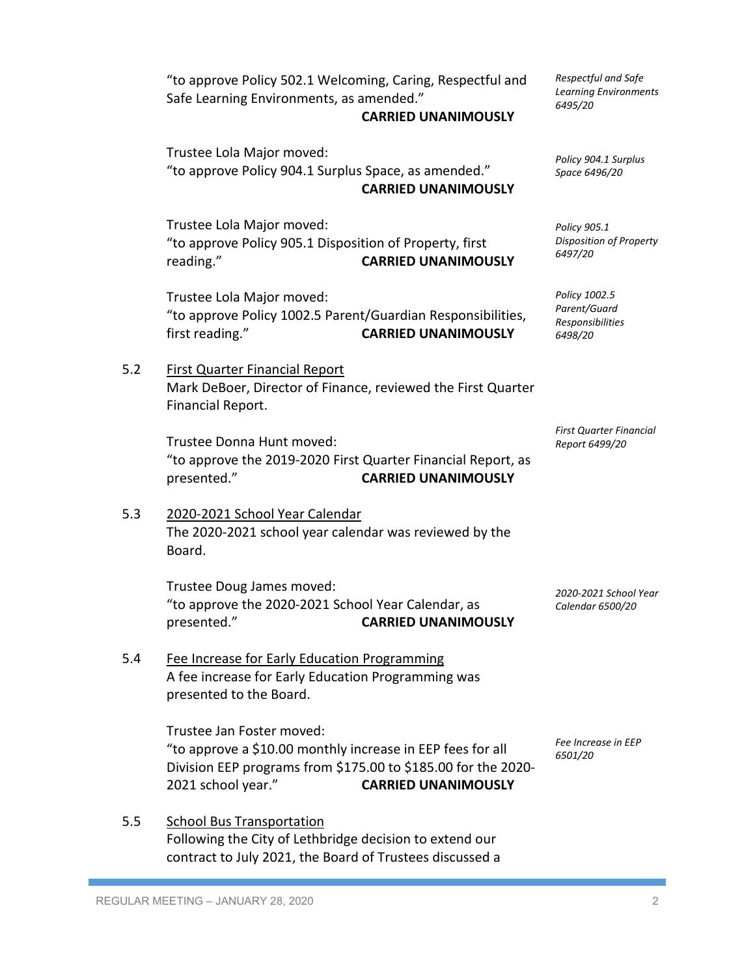"to approve Policy 502.1 Welcoming, Caring, Respectful and Safe Learning Environments, as amended."

#### **CARRIED UNANIMOUSLY**

Trustee Lola Major moved: "to approve Policy 904.1 Surplus Space, as amended." **CARRIED UNANIMOUSLY**

Trustee Lola Major moved: "to approve Policy 905.1 Disposition of Property, first reading." **CARRIED UNANIMOUSLY**

Trustee Lola Major moved: "to approve Policy 1002.5 Parent/Guardian Responsibilities, first reading." **CARRIED UNANIMOUSLY**

5.2 First Quarter Financial Report Mark DeBoer, Director of Finance, reviewed the First Quarter Financial Report.

> Trustee Donna Hunt moved: "to approve the 2019-2020 First Quarter Financial Report, as presented." **CARRIED UNANIMOUSLY**

## 5.3 2020-2021 School Year Calendar The 2020-2021 school year calendar was reviewed by the Board.

Trustee Doug James moved: "to approve the 2020-2021 School Year Calendar, as presented." **CARRIED UNANIMOUSLY**

## 5.4 Fee Increase for Early Education Programming A fee increase for Early Education Programming was presented to the Board.

Trustee Jan Foster moved: "to approve a \$10.00 monthly increase in EEP fees for all Division EEP programs from \$175.00 to \$185.00 for the 2020- 2021 school year." **CARRIED UNANIMOUSLY**

5.5 School Bus Transportation Following the City of Lethbridge decision to extend our contract to July 2021, the Board of Trustees discussed a *Respectful and Safe Learning Environments 6495/20*

*Policy 904.1 Surplus Space 6496/20*

*Policy 905.1 Disposition of Property 6497/20*

*Policy 1002.5 Parent/Guard Responsibilities 6498/20*

*First Quarter Financial Report 6499/20*

*2020-2021 School Year Calendar 6500/20*

*Fee Increase in EEP 6501/20*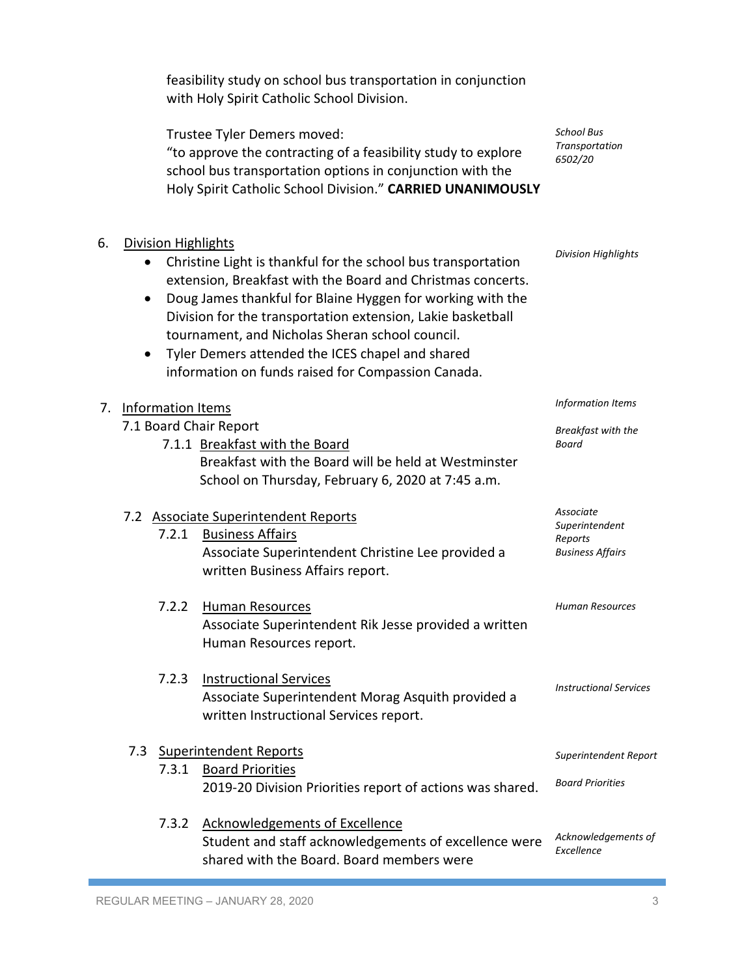|    |                          |                            | with Holy Spirit Catholic School Division.                                                                                                                                                                                                                                                                                                                                                                             |                                                                   |
|----|--------------------------|----------------------------|------------------------------------------------------------------------------------------------------------------------------------------------------------------------------------------------------------------------------------------------------------------------------------------------------------------------------------------------------------------------------------------------------------------------|-------------------------------------------------------------------|
|    |                          |                            | Trustee Tyler Demers moved:<br>"to approve the contracting of a feasibility study to explore<br>school bus transportation options in conjunction with the<br>Holy Spirit Catholic School Division." CARRIED UNANIMOUSLY                                                                                                                                                                                                | <b>School Bus</b><br>Transportation<br>6502/20                    |
| 6. | ٠<br>$\bullet$           | <b>Division Highlights</b> | Christine Light is thankful for the school bus transportation<br>extension, Breakfast with the Board and Christmas concerts.<br>Doug James thankful for Blaine Hyggen for working with the<br>Division for the transportation extension, Lakie basketball<br>tournament, and Nicholas Sheran school council.<br>Tyler Demers attended the ICES chapel and shared<br>information on funds raised for Compassion Canada. | <b>Division Highlights</b>                                        |
| 7. | <b>Information Items</b> |                            |                                                                                                                                                                                                                                                                                                                                                                                                                        | <b>Information Items</b>                                          |
|    |                          |                            | 7.1 Board Chair Report<br>7.1.1 Breakfast with the Board<br>Breakfast with the Board will be held at Westminster<br>School on Thursday, February 6, 2020 at 7:45 a.m.                                                                                                                                                                                                                                                  | Breakfast with the<br>Board                                       |
|    |                          | 7.2.1                      | 7.2 Associate Superintendent Reports<br><b>Business Affairs</b><br>Associate Superintendent Christine Lee provided a<br>written Business Affairs report.                                                                                                                                                                                                                                                               | Associate<br>Superintendent<br>Reports<br><b>Business Affairs</b> |
|    |                          | 7.2.2                      | <b>Human Resources</b><br>Associate Superintendent Rik Jesse provided a written<br>Human Resources report.                                                                                                                                                                                                                                                                                                             | Human Resources                                                   |
|    |                          | 7.2.3                      | <b>Instructional Services</b><br>Associate Superintendent Morag Asquith provided a<br>written Instructional Services report.                                                                                                                                                                                                                                                                                           | <b>Instructional Services</b>                                     |
|    |                          | 7.3.1                      | 7.3 Superintendent Reports<br><b>Board Priorities</b><br>2019-20 Division Priorities report of actions was shared.                                                                                                                                                                                                                                                                                                     | Superintendent Report<br><b>Board Priorities</b>                  |
|    |                          | 7.3.2                      | <b>Acknowledgements of Excellence</b><br>Student and staff acknowledgements of excellence were<br>shared with the Board. Board members were                                                                                                                                                                                                                                                                            | Acknowledgements of<br>Excellence                                 |

feasibility study on school bus transportation in conjunction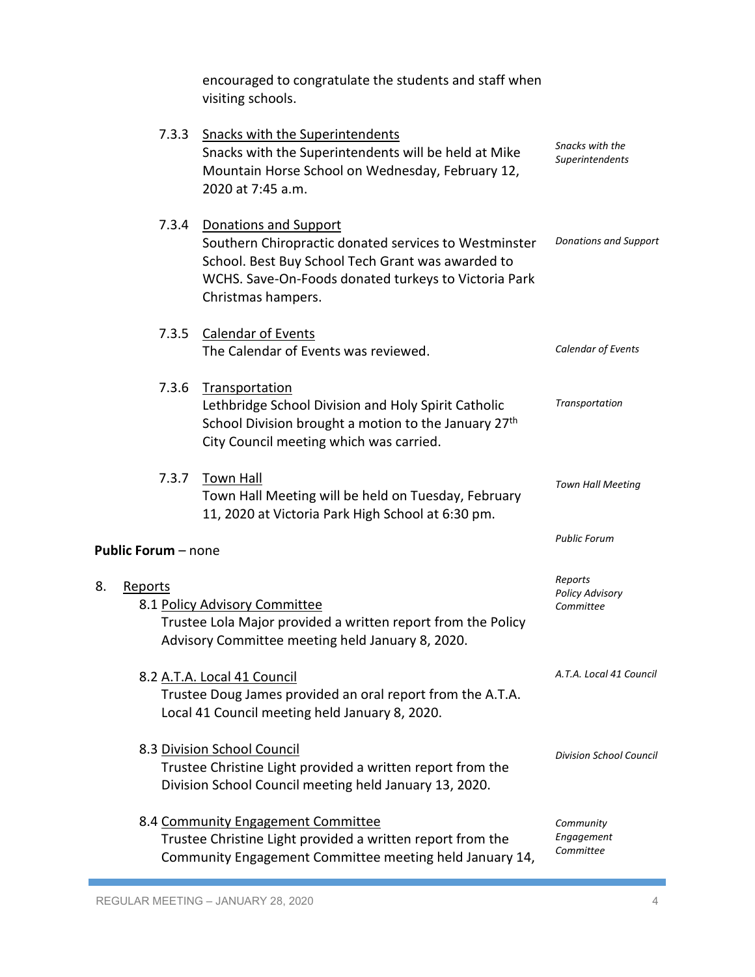|                            | encouraged to congratulate the students and staff when<br>visiting schools.                                                                                                                                       |                                                |
|----------------------------|-------------------------------------------------------------------------------------------------------------------------------------------------------------------------------------------------------------------|------------------------------------------------|
| 7.3.3                      | <b>Snacks with the Superintendents</b><br>Snacks with the Superintendents will be held at Mike<br>Mountain Horse School on Wednesday, February 12,<br>2020 at 7:45 a.m.                                           | Snacks with the<br>Superintendents             |
| 7.3.4                      | Donations and Support<br>Southern Chiropractic donated services to Westminster<br>School. Best Buy School Tech Grant was awarded to<br>WCHS. Save-On-Foods donated turkeys to Victoria Park<br>Christmas hampers. | <b>Donations and Support</b>                   |
| 7.3.5                      | <b>Calendar of Events</b><br>The Calendar of Events was reviewed.                                                                                                                                                 | Calendar of Events                             |
| 7.3.6                      | Transportation<br>Lethbridge School Division and Holy Spirit Catholic<br>School Division brought a motion to the January 27th<br>City Council meeting which was carried.                                          | Transportation                                 |
| 7.3.7                      | <b>Town Hall</b><br>Town Hall Meeting will be held on Tuesday, February<br>11, 2020 at Victoria Park High School at 6:30 pm.                                                                                      | <b>Town Hall Meeting</b>                       |
| <b>Public Forum</b> – none |                                                                                                                                                                                                                   | <b>Public Forum</b>                            |
| 8.<br>Reports              | 8.1 Policy Advisory Committee<br>Trustee Lola Major provided a written report from the Policy<br>Advisory Committee meeting held January 8, 2020.                                                                 | Reports<br><b>Policy Advisory</b><br>Committee |
|                            | 8.2 A.T.A. Local 41 Council<br>Trustee Doug James provided an oral report from the A.T.A.<br>Local 41 Council meeting held January 8, 2020.                                                                       | A.T.A. Local 41 Council                        |
|                            | 8.3 Division School Council<br>Trustee Christine Light provided a written report from the<br>Division School Council meeting held January 13, 2020.                                                               | <b>Division School Council</b>                 |
|                            | 8.4 Community Engagement Committee<br>Trustee Christine Light provided a written report from the<br>Community Engagement Committee meeting held January 14,                                                       | Community<br>Engagement<br>Committee           |